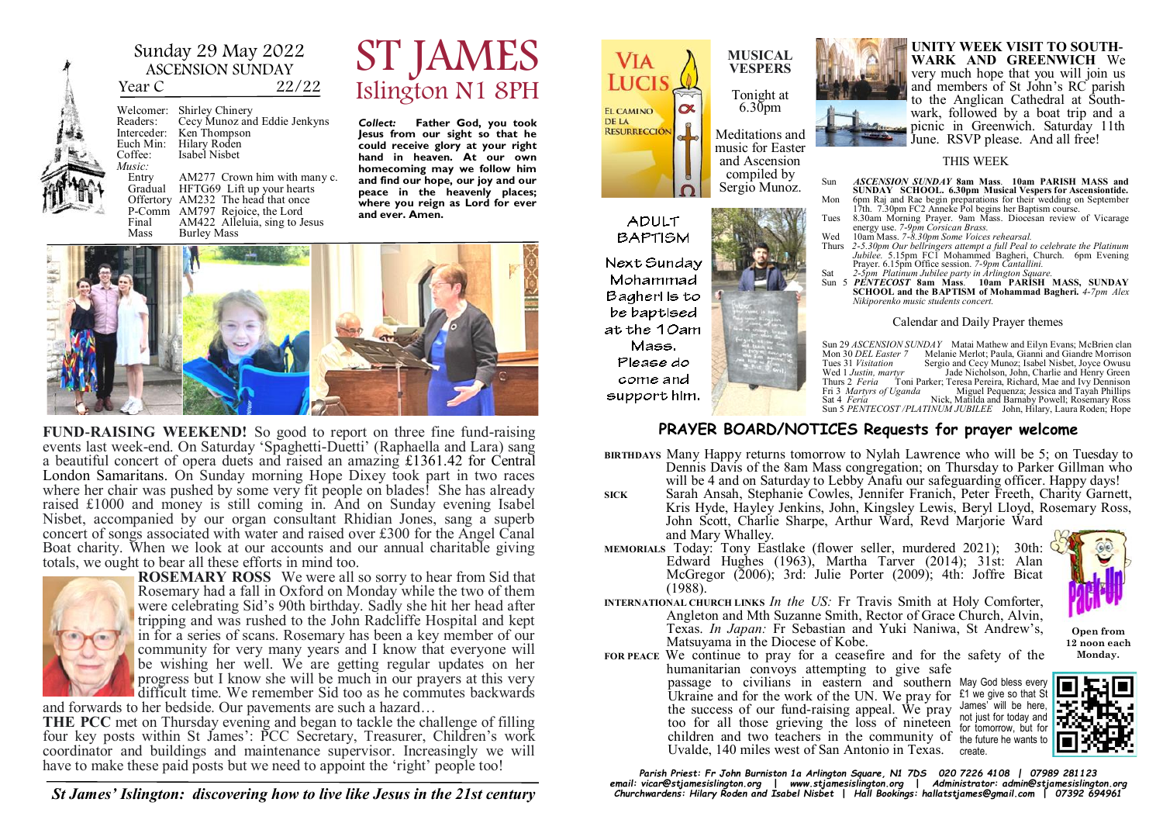#### Sunday 29 May 2022 ASCENSION SUNDAY<br>Year C 22  $22/22$

Welcomer: Shirley Chinery<br>Readers: Cecy Munoz and Cecy Munoz and Eddie Jenkyns Interceder: Ken Thompson Euch Min: Hilary Roden<br>Coffee: Isabel Nisbet Isabel Nisbet *Music:* AM277 Crown him with many c. Gradual HFTG69 Lift up your hearts Offertory AM232 The head that once P-Comm AM797 Rejoice, the Lord<br>Final AM422 Alleluja sing to Je Final AM422 Alleluia, sing to Jesus<br>Mass Burley Mass

## ST JAMES Islington N1 8PH

*Collect:* **Father God, you took Jesus from our sight so that he could receive glory at your right hand in heaven. At our own homecoming may we follow him and find our hope, our joy and our peace in the heavenly places; where you reign as Lord for ever and ever. Amen.** 



**FUND-RAISING WEEKEND!** So good to report on three fine fund-raising events last week-end. On Saturday 'Spaghetti-Duetti' (Raphaella and Lara) sang a beautiful concert of opera duets and raised an amazing £1361.42 for Central London Samaritans. On Sunday morning Hope Dixey took part in two races where her chair was pushed by some very fit people on blades! She has already raised £1000 and money is still coming in. And on Sunday evening Isabel Nisbet, accompanied by our organ consultant Rhidian Jones, sang a superb concert of songs associated with water and raised over £300 for the Angel Canal Boat charity. When we look at our accounts and our annual charitable giving totals, we ought to bear all these efforts in mind too.



**ROSEMARY ROSS** We were all so sorry to hear from Sid that Rosemary had a fall in Oxford on Monday while the two of them were celebrating Sid's 90th birthday. Sadly she hit her head after tripping and was rushed to the John Radcliffe Hospital and kept in for a series of scans. Rosemary has been a key member of our community for very many years and I know that everyone will be wishing her well. We are getting regular updates on her progress but I know she will be much in our prayers at this very difficult time. We remember Sid too as he commutes backwards

and forwards to her bedside. Our pavements are such a hazard…

**THE PCC** met on Thursday evening and began to tackle the challenge of filling four key posts within St James': PCC Secretary, Treasurer, Children's work coordinator and buildings and maintenance supervisor. Increasingly we will have to make these paid posts but we need to appoint the 'right' people too!

*St James' Islington: discovering how to live like Jesus in the 21st century*



**ADULT BAPTISM** 

Next Sunday Mohammad Bagherl is to be baptised at the 10am Mass. Please do come and support him.



Tonight at  $6.30$ <sub>pm</sub>

Meditations and music for Easter and Ascension compiled by Sergio Munoz.



**UNITY WEEK VISIT TO SOUTH-WARK AND GREENWICH** We very much hope that you will join us and members of St John's RC parish to the Anglican Cathedral at Southwark, followed by a boat trip and a picnic in Greenwich. Saturday 11th June. RSVP please. And all free!

#### THIS WEEK

Sun *ASCENSION SUNDAY* **8am Mass**. **10am PARISH MASS and SUNDAY SCHOOL. 6.30pm Musical Vespers for Ascensiontide.** 

- Mon 6pm Raj and Rae begin preparations for their wedding on September 17th. 7.30pm FC2 Anneke Pol begins her Baptism course. Tues 8.30am Morning Prayer. 9am Mass. Diocesan review of Vicarage
- energy use. *7-9pm Corsican Brass.*
- Wed 10am Mass. 7-8.30pm Some Voices rehearsal.<br>Thurs 2-5.30pm Our bellringers attempt a full Peal t Thurs 2-5.30pm Our bellringers attempt a full Peal to celebrate the Platinum<br>Jubilee. 5.15pm FCI Mohammed Bagheri, Church. 6pm Evening<br>Prayer. 6.15pm Office session. 7-9pm Cantallini.<br>Sat 2-5pm Platinum Jubilee party in Ar
- 
- Sun 5 *PENTECOST* **8am Mass**. **10am PARISH MASS, SUNDAY SCHOOL and the BAPTISM of Mohammad Bagheri.** *4-7pm Alex Nikiporenko music students concert.*

#### Calendar and Daily Prayer themes

Sun 29 *ASCENSION SUNDAY* Matai Mathew and Eilyn Evans; McBrien clan<br>Mon 30 *DEL Easter 7* Melanie Merlot; Paula, Gianni and Giandre Morrison Mon 30 *DEL Easter 7* Melanie Merlot; Paula, Gianni and Giandre Morrison Tues 31 *Visitation* Sergio and Cecy Munoz; Isabel Nisbet, Joyce Owusu Jade Nicholson, John, Charlie and Henry Green Thurs 2 *Feria* Toni Parker; Teresa Pereira, Richard, Mae and Ivy Dennison Fri 3 *Martyrs of Uganda* Miguel Pequenza; Jessica and Tayah Phillips<br>Sat 4 *Feria* Nick, Matilda and Barnaby Powell; Rosemary Ross Sun 5 *PENTECOST /PLATINUM JUBILEE* John, Hilary, Laura Roden; Hope

### **PRAYER BOARD/NOTICES Requests for prayer welcome**

**BIRTHDAYS** Many Happy returns tomorrow to Nylah Lawrence who will be 5; on Tuesday to Dennis Davis of the 8am Mass congregation; on Thursday to Parker Gillman who will be 4 and on Saturday to Lebby Anafu our safeguarding officer. Happy days!

**SICK** Sarah Ansah, Stephanie Cowles, Jennifer Franich, Peter Freeth, Charity Garnett, Kris Hyde, Hayley Jenkins, John, Kingsley Lewis, Beryl Lloyd, Rosemary Ross, John Scott, Charlie Sharpe, Arthur Ward, Revd Marjorie Ward

and Mary Whalley.

**MEMORIALS** Today: Tony Eastlake (flower seller, murdered 2021); 30th: Edward Hughes (1963), Martha Tarver (2014); 31st: Alan McGregor (2006); 3rd: Julie Porter (2009); 4th: Joffre Bicat (1988).



**FOR PEACE** We continue to pray for a ceasefire and for the safety of the humanitarian convoys attempting to give safe

passage to civilians in eastern and southern May God bless every Ukraine and for the work of the UN. We pray for £1 we give so that St the success of our fund-raising appeal. We pray lames' will be here, too for all those grieving the loss of nineteen  $f_{\text{tot}}$  hot just for today and too for all those grieving the loss of nineteen  $f_{\text{tot}}$  tomorrow but for children and two teachers in the community of  $\frac{1}{10}$  future he wants to Uvalde, 140 miles west of San Antonio in Texas. create.

for tomorrow, but for



Parish Priest: Fr John Burniston 1a Arlington Square, N1 7DS 020 7226 4108 | 07989 281123<br>email: vicar@stjamesislington.org | www.stjamesislington.org | Administrator: admin@stjamesislington.org *Churchwardens: Hilary Roden and Isabel Nisbet* **|** *Hall Bookings: hallatstjames@gmail.com* **|** *07392 694961* 



**Open from 12 noon each Monday.**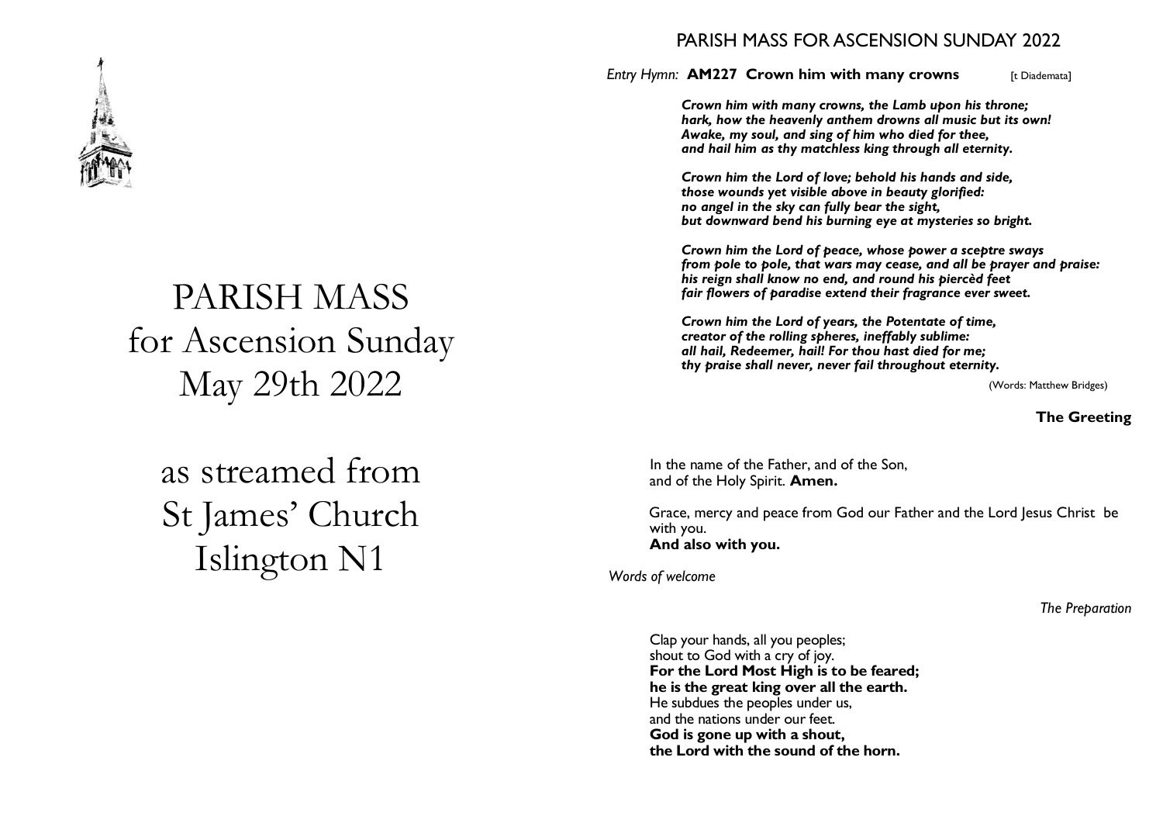

## PARISH MASS for Ascension Sunday May 29th 2022

# as streamed from St James' Church Islington N1

## PARISH MASS FOR ASCENSION SUNDAY 2022

*Entry Hymn:* **AM227 Crown him with many crowns <b>Example 1**t Diadematal

*Crown him with many crowns, the Lamb upon his throne; hark, how the heavenly anthem drowns all music but its own! Awake, my soul, and sing of him who died for thee, and hail him as thy matchless king through all eternity.* 

*Crown him the Lord of love; behold his hands and side, those wounds yet visible above in beauty glorified: no angel in the sky can fully bear the sight, but downward bend his burning eye at mysteries so bright.*

*Crown him the Lord of peace, whose power a sceptre sways from pole to pole, that wars may cease, and all be prayer and praise: his reign shall know no end, and round his piercèd feet fair flowers of paradise extend their fragrance ever sweet.*

*Crown him the Lord of years, the Potentate of time, creator of the rolling spheres, ineffably sublime: all hail, Redeemer, hail! For thou hast died for me; thy praise shall never, never fail throughout eternity.* 

(Words: Matthew Bridges)

#### **The Greeting**

In the name of the Father, and of the Son, and of the Holy Spirit. **Amen.**

Grace, mercy and peace from God our Father and the Lord Jesus Christ be with you. **And also with you.**

*Words of welcome* 

#### *The Preparation*

Clap your hands, all you peoples; shout to God with a cry of joy. **For the Lord Most High is to be feared; he is the great king over all the earth.** He subdues the peoples under us, and the nations under our feet. **God is gone up with a shout, the Lord with the sound of the horn.**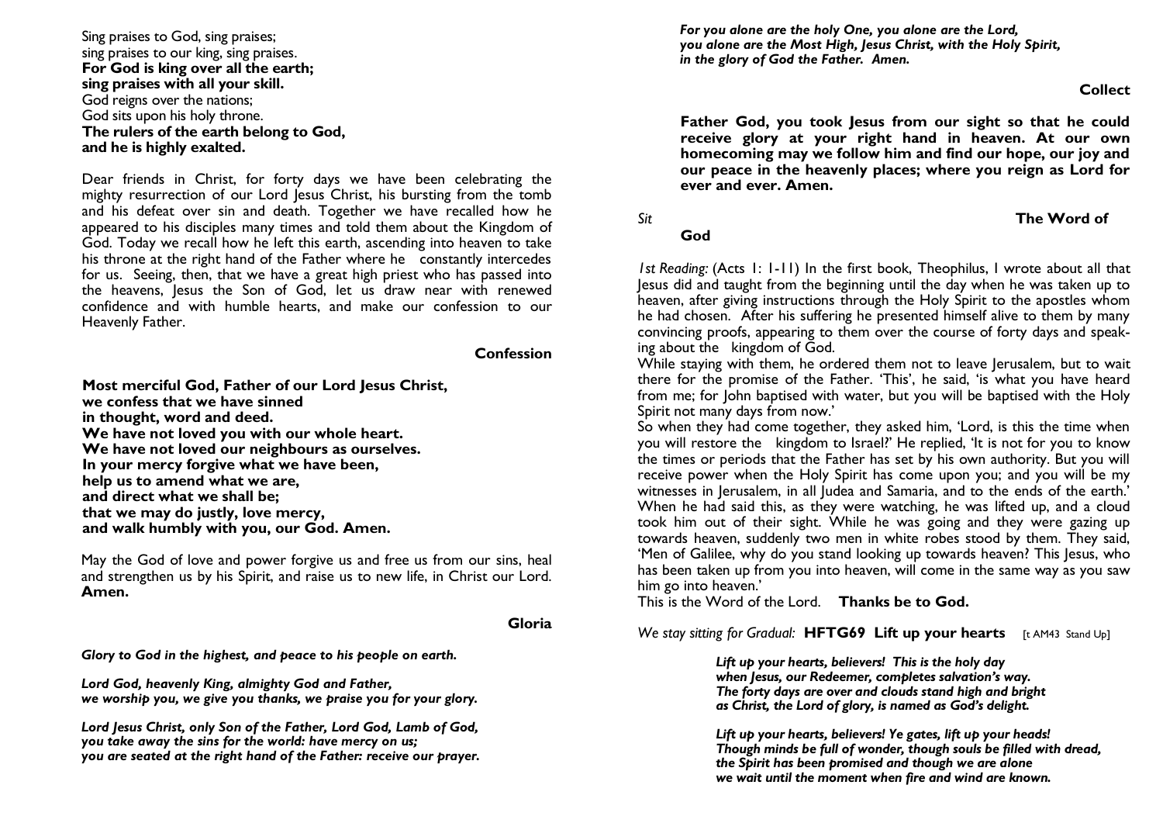Sing praises to God, sing praises; sing praises to our king, sing praises. **For God is king over all the earth; sing praises with all your skill.** God reigns over the nations; God sits upon his holy throne. **The rulers of the earth belong to God, and he is highly exalted.**

Dear friends in Christ, for forty days we have been celebrating the mighty resurrection of our Lord Jesus Christ, his bursting from the tomb and his defeat over sin and death. Together we have recalled how he appeared to his disciples many times and told them about the Kingdom of God. Today we recall how he left this earth, ascending into heaven to take his throne at the right hand of the Father where he constantly intercedes for us. Seeing, then, that we have a great high priest who has passed into the heavens, Jesus the Son of God, let us draw near with renewed confidence and with humble hearts, and make our confession to our Heavenly Father.

#### **Confession**

**Most merciful God, Father of our Lord Jesus Christ, we confess that we have sinned in thought, word and deed. We have not loved you with our whole heart. We have not loved our neighbours as ourselves. In your mercy forgive what we have been, help us to amend what we are, and direct what we shall be; that we may do justly, love mercy, and walk humbly with you, our God. Amen.**

May the God of love and power forgive us and free us from our sins, heal and strengthen us by his Spirit, and raise us to new life, in Christ our Lord. **Amen.**

#### **Gloria**

*Glory to God in the highest, and peace to his people on earth.*

*Lord God, heavenly King, almighty God and Father, we worship you, we give you thanks, we praise you for your glory.* 

*Lord Jesus Christ, only Son of the Father, Lord God, Lamb of God, you take away the sins for the world: have mercy on us; you are seated at the right hand of the Father: receive our prayer.* *For you alone are the holy One, you alone are the Lord, you alone are the Most High, Jesus Christ, with the Holy Spirit, in the glory of God the Father. Amen.* 

### **Collect**

**Father God, you took Jesus from our sight so that he could receive glory at your right hand in heaven. At our own homecoming may we follow him and find our hope, our joy and our peace in the heavenly places; where you reign as Lord for ever and ever. Amen.** 

*Sit* **The Word of** 

#### **God**

*1st Reading:* (Acts 1: 1-11) In the first book, Theophilus, I wrote about all that Jesus did and taught from the beginning until the day when he was taken up to heaven, after giving instructions through the Holy Spirit to the apostles whom he had chosen. After his suffering he presented himself alive to them by many convincing proofs, appearing to them over the course of forty days and speaking about the kingdom of God.

While staying with them, he ordered them not to leave Jerusalem, but to wait there for the promise of the Father. 'This', he said, 'is what you have heard from me; for John baptised with water, but you will be baptised with the Holy Spirit not many days from now.'

So when they had come together, they asked him, 'Lord, is this the time when you will restore the kingdom to Israel?' He replied, 'It is not for you to know the times or periods that the Father has set by his own authority. But you will receive power when the Holy Spirit has come upon you; and you will be my witnesses in Jerusalem, in all Judea and Samaria, and to the ends of the earth.' When he had said this, as they were watching, he was lifted up, and a cloud took him out of their sight. While he was going and they were gazing up towards heaven, suddenly two men in white robes stood by them. They said, 'Men of Galilee, why do you stand looking up towards heaven? This Jesus, who has been taken up from you into heaven, will come in the same way as you saw him go into heaven.'

This is the Word of the Lord. **Thanks be to God.** 

*We stay sitting for Gradual:* **HFTG69 Lift up your hearts** [t AM43 Stand Up]

*Lift up your hearts, believers! This is the holy day when Jesus, our Redeemer, completes salvation's way. The forty days are over and clouds stand high and bright as Christ, the Lord of glory, is named as God's delight.*

*Lift up your hearts, believers! Ye gates, lift up your heads! Though minds be full of wonder, though souls be filled with dread, the Spirit has been promised and though we are alone we wait until the moment when fire and wind are known.*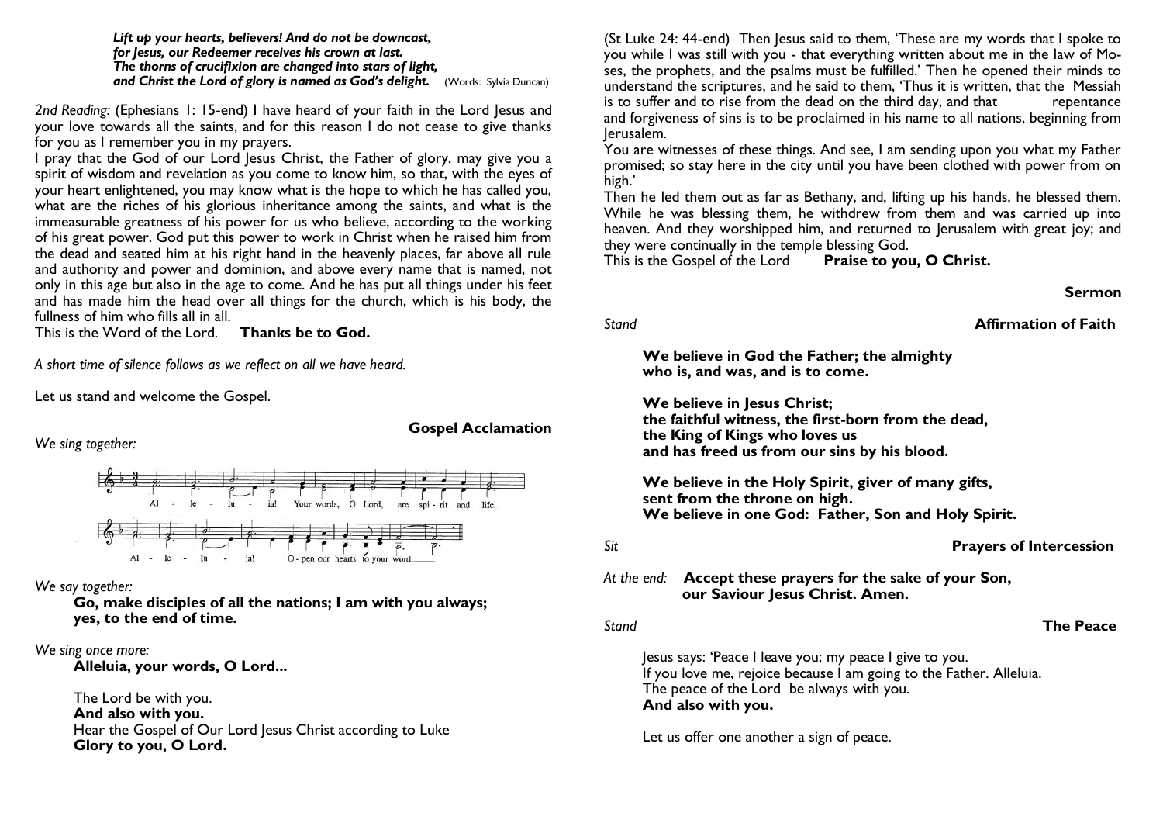*Lift up your hearts, believers! And do not be downcast, for Jesus, our Redeemer receives his crown at last. The thorns of crucifixion are changed into stars of light,* and Christ the Lord of glory is named as God's delight. (Words: Sylvia Duncan)

*2nd Reading:* (Ephesians 1: 15-end) I have heard of your faith in the Lord Jesus and your love towards all the saints, and for this reason I do not cease to give thanks for you as I remember you in my prayers.

I pray that the God of our Lord Jesus Christ, the Father of glory, may give you a spirit of wisdom and revelation as you come to know him, so that, with the eyes of your heart enlightened, you may know what is the hope to which he has called you, what are the riches of his glorious inheritance among the saints, and what is the immeasurable greatness of his power for us who believe, according to the working of his great power. God put this power to work in Christ when he raised him from the dead and seated him at his right hand in the heavenly places, far above all rule and authority and power and dominion, and above every name that is named, not only in this age but also in the age to come. And he has put all things under his feet and has made him the head over all things for the church, which is his body, the fullness of him who fills all in all.

This is the Word of the Lord. **Thanks be to God.** 

*A short time of silence follows as we reflect on all we have heard.* 

Let us stand and welcome the Gospel.

**Gospel Acclamation**



#### *We say together:*

*We sing together:*

**Go, make disciples of all the nations; I am with you always; yes, to the end of time.** 

#### *We sing once more:*

**Alleluia, your words, O Lord...**

The Lord be with you. **And also with you.**  Hear the Gospel of Our Lord Jesus Christ according to Luke **Glory to you, O Lord.**

(St Luke 24: 44-end) Then Jesus said to them, 'These are my words that I spoke to you while I was still with you - that everything written about me in the law of Moses, the prophets, and the psalms must be fulfilled.' Then he opened their minds to understand the scriptures, and he said to them, 'Thus it is written, that the Messiah is to suffer and to rise from the dead on the third day, and that repentance and forgiveness of sins is to be proclaimed in his name to all nations, beginning from Jerusalem.

You are witnesses of these things. And see, I am sending upon you what my Father promised; so stay here in the city until you have been clothed with power from on high.'

Then he led them out as far as Bethany, and, lifting up his hands, he blessed them. While he was blessing them, he withdrew from them and was carried up into heaven. And they worshipped him, and returned to Jerusalem with great joy; and they were continually in the temple blessing God.

This is the Gospel of the Lord **Praise to you, O Christ.** 

#### **Sermon**

*Stand* **Affirmation of Faith**

**We believe in God the Father; the almighty who is, and was, and is to come.**

**We believe in Jesus Christ; the faithful witness, the first-born from the dead, the King of Kings who loves us and has freed us from our sins by his blood.**

**We believe in the Holy Spirit, giver of many gifts, sent from the throne on high. We believe in one God: Father, Son and Holy Spirit.** 

#### *Sit* **Prayers of Intercession**

*At the end:* **Accept these prayers for the sake of your Son, our Saviour Jesus Christ. Amen.** 

#### **Stand <b>The Peace**

Jesus says: 'Peace I leave you; my peace I give to you. If you love me, rejoice because I am going to the Father. Alleluia. The peace of the Lord be always with you. **And also with you.** 

Let us offer one another a sign of peace.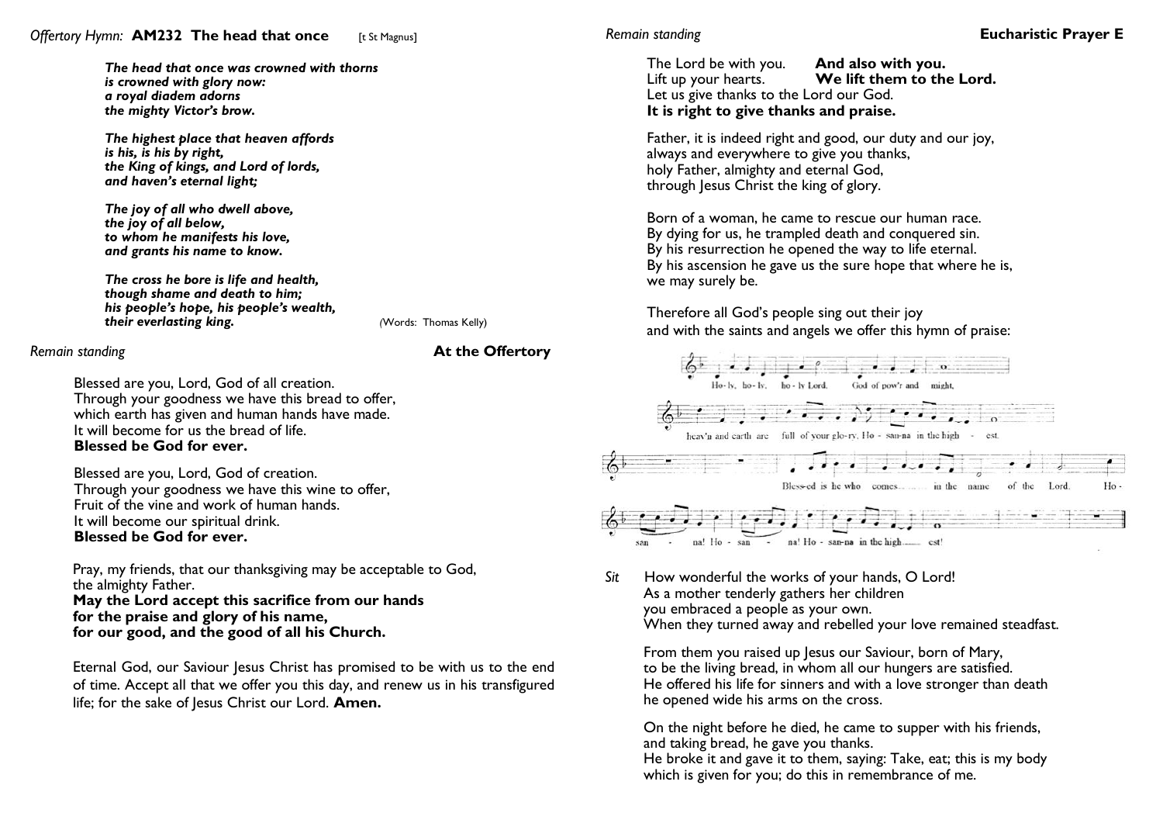*The head that once was crowned with thorns is crowned with glory now: a royal diadem adorns the mighty Victor's brow.* 

*The highest place that heaven affords is his, is his by right, the King of kings, and Lord of lords, and haven's eternal light;*

*The joy of all who dwell above, the joy of all below, to whom he manifests his love, and grants his name to know.* 

*The cross he bore is life and health, though shame and death to him; his people's hope, his people's wealth, their everlasting king. (Words: Thomas Kelly)* 

#### **Remain standing At the Offertory**

Blessed are you, Lord, God of all creation. Through your goodness we have this bread to offer, which earth has given and human hands have made. It will become for us the bread of life. **Blessed be God for ever.** 

Blessed are you, Lord, God of creation. Through your goodness we have this wine to offer, Fruit of the vine and work of human hands. It will become our spiritual drink. **Blessed be God for ever.** 

Pray, my friends, that our thanksgiving may be acceptable to God, the almighty Father.

**May the Lord accept this sacrifice from our hands for the praise and glory of his name, for our good, and the good of all his Church.** 

Eternal God, our Saviour Jesus Christ has promised to be with us to the end of time. Accept all that we offer you this day, and renew us in his transfigured life; for the sake of Jesus Christ our Lord. **Amen.**

#### *Remain standing* **Eucharistic Prayer E**

The Lord be with you. **And also with you.** Lift up your hearts. **We lift them to the Lord.** Let us give thanks to the Lord our God. **It is right to give thanks and praise.**

Father, it is indeed right and good, our duty and our joy, always and everywhere to give you thanks, holy Father, almighty and eternal God, through Jesus Christ the king of glory.

Born of a woman, he came to rescue our human race. By dying for us, he trampled death and conquered sin. By his resurrection he opened the way to life eternal. By his ascension he gave us the sure hope that where he is, we may surely be.

Therefore all God's people sing out their joy and with the saints and angels we offer this hymn of praise:



*Sit* How wonderful the works of your hands, O Lord! As a mother tenderly gathers her children you embraced a people as your own. When they turned away and rebelled your love remained steadfast.

From them you raised up Jesus our Saviour, born of Mary, to be the living bread, in whom all our hungers are satisfied. He offered his life for sinners and with a love stronger than death he opened wide his arms on the cross.

On the night before he died, he came to supper with his friends, and taking bread, he gave you thanks. He broke it and gave it to them, saying: Take, eat; this is my body which is given for you; do this in remembrance of me.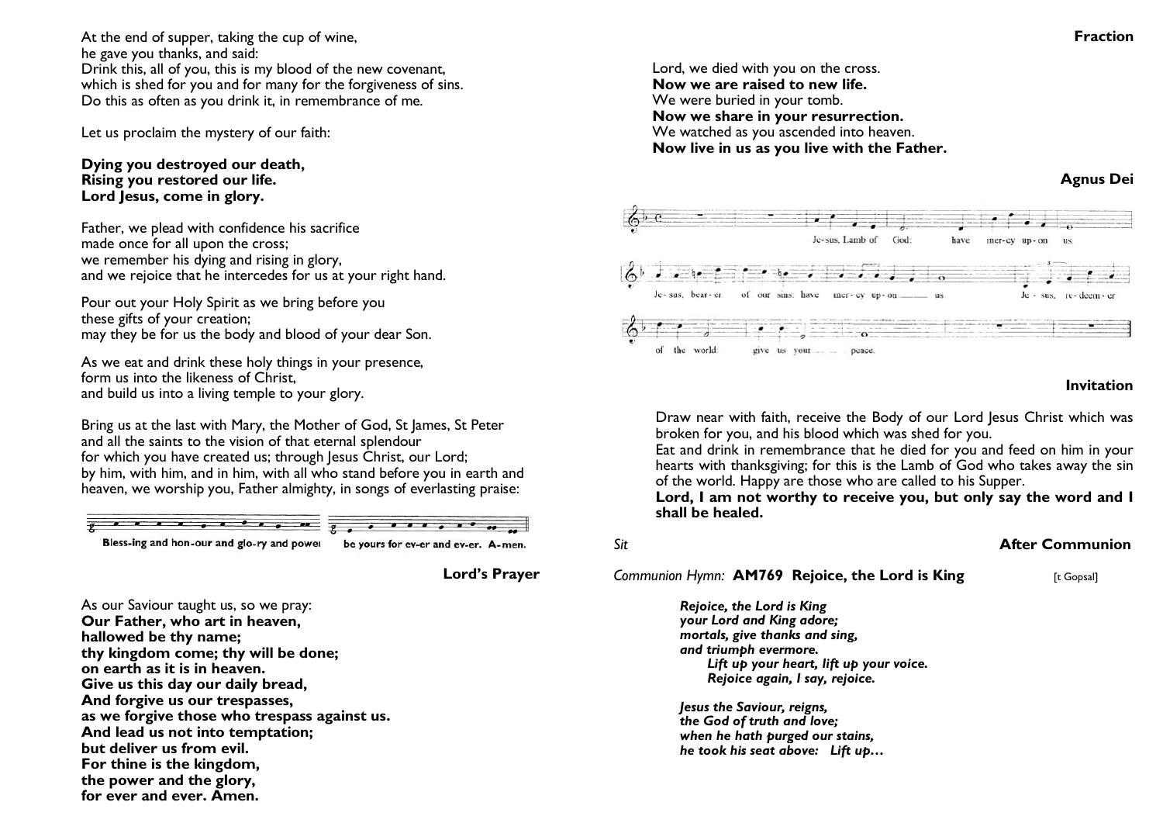At the end of supper, taking the cup of wine, he gave you thanks, and said: Drink this, all of you, this is my blood of the new covenant, which is shed for you and for many for the forgiveness of sins. Do this as often as you drink it, in remembrance of me.

Let us proclaim the mystery of our faith:

**Dying you destroyed our death, Rising you restored our life. Lord Jesus, come in glory.** 

Father, we plead with confidence his sacrifice made once for all upon the cross; we remember his dying and rising in glory, and we rejoice that he intercedes for us at your right hand.

Pour out your Holy Spirit as we bring before you these gifts of your creation; may they be for us the body and blood of your dear Son.

As we eat and drink these holy things in your presence, form us into the likeness of Christ, and build us into a living temple to your glory.

Bring us at the last with Mary, the Mother of God, St James, St Peter and all the saints to the vision of that eternal splendour for which you have created us; through Jesus Christ, our Lord; by him, with him, and in him, with all who stand before you in earth and heaven, we worship you, Father almighty, in songs of everlasting praise:



Bless-ing and hon-our and glo-ry and power

be yours for ev-er and ev-er. A-men.

**Lord's Prayer**

As our Saviour taught us, so we pray: **Our Father, who art in heaven, hallowed be thy name; thy kingdom come; thy will be done; on earth as it is in heaven. Give us this day our daily bread, And forgive us our trespasses, as we forgive those who trespass against us. And lead us not into temptation; but deliver us from evil. For thine is the kingdom, the power and the glory, for ever and ever. Amen.** 

Lord, we died with you on the cross. **Now we are raised to new life.**  We were buried in your tomb. **Now we share in your resurrection.**  We watched as you ascended into heaven. **Now live in us as you live with the Father.** 



#### **Invitation**

Draw near with faith, receive the Body of our Lord Jesus Christ which was broken for you, and his blood which was shed for you.

Eat and drink in remembrance that he died for you and feed on him in your hearts with thanksgiving; for this is the Lamb of God who takes away the sin of the world. Happy are those who are called to his Supper.

**Lord, I am not worthy to receive you, but only say the word and I shall be healed.** 

*Sit* **After Communion** 

#### **Communion Hymn: AM769 Rejoice, the Lord is King** [t Gopsal]

*Rejoice, the Lord is King your Lord and King adore; mortals, give thanks and sing, and triumph evermore. Lift up your heart, lift up your voice. Rejoice again, I say, rejoice.*

*Jesus the Saviour, reigns, the God of truth and love; when he hath purged our stains, he took his seat above: Lift up…*